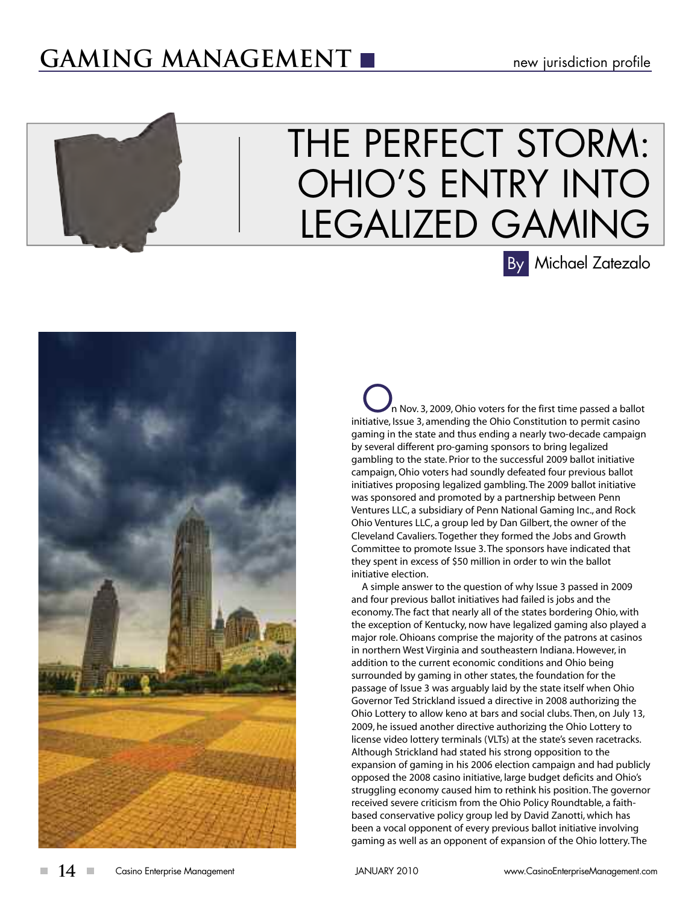## **GAMING MANAGEMENT**

# THE PERFECT STORM: OHIO'S ENTRY INTO LEGALIZED GAMING Michael Zatezalo By

In Nov. 3, 2009, Ohio voters for the first time passed a ballot initiative, Issue 3, amending the Ohio Constitution to permit casino gaming in the state and thus ending a nearly two-decade campaign by several different pro-gaming sponsors to bring legalized gambling to the state. Prior to the successful 2009 ballot initiative campaign, Ohio voters had soundly defeated four previous ballot initiatives proposing legalized gambling. The 2009 ballot initiative was sponsored and promoted by a partnership between Penn Ventures LLC, a subsidiary of Penn National Gaming Inc., and Rock Ohio Ventures LLC, a group led by Dan Gilbert, the owner of the Cleveland Cavaliers. Together they formed the Jobs and Growth Committee to promote Issue 3. The sponsors have indicated that they spent in excess of \$50 million in order to win the ballot initiative election.

A simple answer to the question of why Issue 3 passed in 2009 and four previous ballot initiatives had failed is jobs and the economy. The fact that nearly all of the states bordering Ohio, with the exception of Kentucky, now have legalized gaming also played a major role. Ohioans comprise the majority of the patrons at casinos in northern West Virginia and southeastern Indiana. However, in addition to the current economic conditions and Ohio being surrounded by gaming in other states, the foundation for the passage of Issue 3 was arguably laid by the state itself when Ohio Governor Ted Strickland issued a directive in 2008 authorizing the Ohio Lottery to allow keno at bars and social clubs. Then, on July 13, 2009, he issued another directive authorizing the Ohio Lottery to license video lottery terminals (VLTs) at the state's seven racetracks. Although Strickland had stated his strong opposition to the expansion of gaming in his 2006 election campaign and had publicly opposed the 2008 casino initiative, large budget deficits and Ohio's struggling economy caused him to rethink his position. The governor received severe criticism from the Ohio Policy Roundtable, a faithbased conservative policy group led by David Zanotti, which has been a vocal opponent of every previous ballot initiative involving gaming as well as an opponent of expansion of the Ohio lottery. The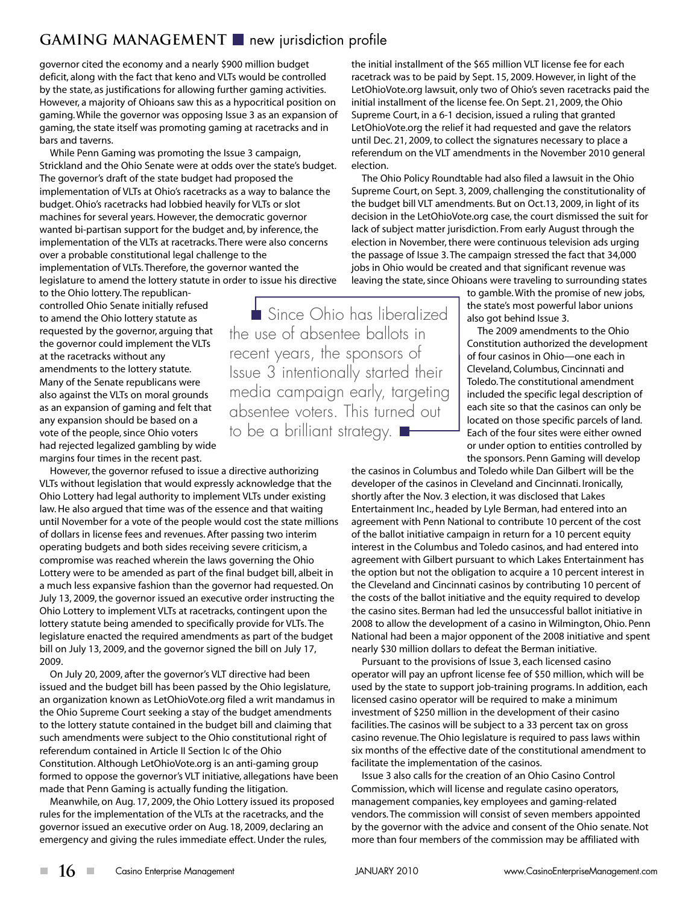### **GAMING MANAGEMENT** new jurisdiction profile

governor cited the economy and a nearly \$900 million budget deficit, along with the fact that keno and VLTs would be controlled by the state, as justifications for allowing further gaming activities. However, a majority of Ohioans saw this as a hypocritical position on gaming. While the governor was opposing Issue 3 as an expansion of gaming, the state itself was promoting gaming at racetracks and in bars and taverns.

While Penn Gaming was promoting the Issue 3 campaign, Strickland and the Ohio Senate were at odds over the state's budget. The governor's draft of the state budget had proposed the implementation of VLTs at Ohio's racetracks as a way to balance the budget. Ohio's racetracks had lobbied heavily for VLTs or slot machines for several years. However, the democratic governor wanted bi-partisan support for the budget and, by inference, the implementation of the VLTs at racetracks. There were also concerns over a probable constitutional legal challenge to the implementation of VLTs. Therefore, the governor wanted the legislature to amend the lottery statute in order to issue his directive

to the Ohio lottery. The republicancontrolled Ohio Senate initially refused to amend the Ohio lottery statute as requested by the governor, arguing that the governor could implement the VLTs at the racetracks without any amendments to the lottery statute. Many of the Senate republicans were also against the VLTs on moral grounds as an expansion of gaming and felt that any expansion should be based on a vote of the people, since Ohio voters had rejected legalized gambling by wide margins four times in the recent past.

However, the governor refused to issue a directive authorizing VLTs without legislation that would expressly acknowledge that the Ohio Lottery had legal authority to implement VLTs under existing law. He also argued that time was of the essence and that waiting until November for a vote of the people would cost the state millions of dollars in license fees and revenues. After passing two interim operating budgets and both sides receiving severe criticism, a compromise was reached wherein the laws governing the Ohio Lottery were to be amended as part of the final budget bill, albeit in a much less expansive fashion than the governor had requested. On July 13, 2009, the governor issued an executive order instructing the Ohio Lottery to implement VLTs at racetracks, contingent upon the lottery statute being amended to specifically provide for VLTs. The legislature enacted the required amendments as part of the budget bill on July 13, 2009, and the governor signed the bill on July 17, 2009.

On July 20, 2009, after the governor's VLT directive had been issued and the budget bill has been passed by the Ohio legislature, an organization known as LetOhioVote.org filed a writ mandamus in the Ohio Supreme Court seeking a stay of the budget amendments to the lottery statute contained in the budget bill and claiming that such amendments were subject to the Ohio constitutional right of referendum contained in Article II Section Ic of the Ohio Constitution. Although LetOhioVote.org is an anti-gaming group formed to oppose the governor's VLT initiative, allegations have been made that Penn Gaming is actually funding the litigation.

Meanwhile, on Aug. 17, 2009, the Ohio Lottery issued its proposed rules for the implementation of the VLTs at the racetracks, and the governor issued an executive order on Aug. 18, 2009, declaring an emergency and giving the rules immediate effect. Under the rules,

the initial installment of the \$65 million VLT license fee for each racetrack was to be paid by Sept. 15, 2009. However, in light of the LetOhioVote.org lawsuit, only two of Ohio's seven racetracks paid the initial installment of the license fee. On Sept. 21, 2009, the Ohio Supreme Court, in a 6-1 decision, issued a ruling that granted LetOhioVote.org the relief it had requested and gave the relators until Dec. 21, 2009, to collect the signatures necessary to place a referendum on the VLT amendments in the November 2010 general election.

The Ohio Policy Roundtable had also filed a lawsuit in the Ohio Supreme Court, on Sept. 3, 2009, challenging the constitutionality of the budget bill VLT amendments. But on Oct.13, 2009, in light of its decision in the LetOhioVote.org case, the court dismissed the suit for lack of subject matter jurisdiction. From early August through the election in November, there were continuous television ads urging the passage of Issue 3. The campaign stressed the fact that 34,000 jobs in Ohio would be created and that significant revenue was leaving the state, since Ohioans were traveling to surrounding states

> to gamble. With the promise of new jobs, the state's most powerful labor unions also got behind Issue 3.

The 2009 amendments to the Ohio Constitution authorized the development of four casinos in Ohio—one each in Cleveland, Columbus, Cincinnati and Toledo. The constitutional amendment included the specific legal description of each site so that the casinos can only be located on those specific parcels of land. Each of the four sites were either owned or under option to entities controlled by the sponsors. Penn Gaming will develop

the casinos in Columbus and Toledo while Dan Gilbert will be the developer of the casinos in Cleveland and Cincinnati. Ironically, shortly after the Nov. 3 election, it was disclosed that Lakes Entertainment Inc., headed by Lyle Berman, had entered into an agreement with Penn National to contribute 10 percent of the cost of the ballot initiative campaign in return for a 10 percent equity interest in the Columbus and Toledo casinos, and had entered into agreement with Gilbert pursuant to which Lakes Entertainment has the option but not the obligation to acquire a 10 percent interest in the Cleveland and Cincinnati casinos by contributing 10 percent of the costs of the ballot initiative and the equity required to develop the casino sites. Berman had led the unsuccessful ballot initiative in 2008 to allow the development of a casino in Wilmington, Ohio. Penn National had been a major opponent of the 2008 initiative and spent nearly \$30 million dollars to defeat the Berman initiative.

Pursuant to the provisions of Issue 3, each licensed casino operator will pay an upfront license fee of \$50 million, which will be used by the state to support job-training programs. In addition, each licensed casino operator will be required to make a minimum investment of \$250 million in the development of their casino facilities. The casinos will be subject to a 33 percent tax on gross casino revenue. The Ohio legislature is required to pass laws within six months of the effective date of the constitutional amendment to facilitate the implementation of the casinos.

Issue 3 also calls for the creation of an Ohio Casino Control Commission, which will license and regulate casino operators, management companies, key employees and gaming-related vendors. The commission will consist of seven members appointed by the governor with the advice and consent of the Ohio senate. Not more than four members of the commission may be affiliated with

Since Ohio has liberalized the use of absentee ballots in recent years, the sponsors of Issue 3 intentionally started their media campaign early, targeting absentee voters. This turned out to be a brilliant strategy. **H**